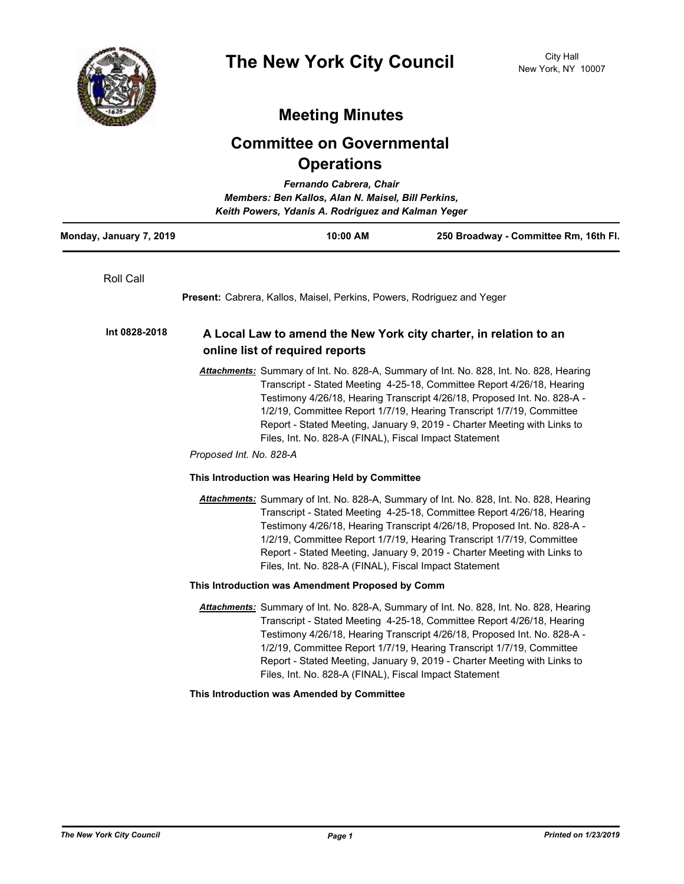

## **Meeting Minutes**

## **Committee on Governmental Operations**

| Fernando Cabrera, Chair<br>Members: Ben Kallos, Alan N. Maisel, Bill Perkins,<br>Keith Powers, Ydanis A. Rodriguez and Kalman Yeger |                                                                                                      |                                                                                                                                                                                                                                                                                                                                                                                                                                                             |                                                                                                                                                                                                                                                                                                                                                                                                   |  |
|-------------------------------------------------------------------------------------------------------------------------------------|------------------------------------------------------------------------------------------------------|-------------------------------------------------------------------------------------------------------------------------------------------------------------------------------------------------------------------------------------------------------------------------------------------------------------------------------------------------------------------------------------------------------------------------------------------------------------|---------------------------------------------------------------------------------------------------------------------------------------------------------------------------------------------------------------------------------------------------------------------------------------------------------------------------------------------------------------------------------------------------|--|
| Monday, January 7, 2019                                                                                                             |                                                                                                      | 10:00 AM                                                                                                                                                                                                                                                                                                                                                                                                                                                    | 250 Broadway - Committee Rm, 16th Fl.                                                                                                                                                                                                                                                                                                                                                             |  |
| Roll Call                                                                                                                           |                                                                                                      | <b>Present:</b> Cabrera, Kallos, Maisel, Perkins, Powers, Rodriguez and Yeger                                                                                                                                                                                                                                                                                                                                                                               |                                                                                                                                                                                                                                                                                                                                                                                                   |  |
| Int 0828-2018                                                                                                                       | A Local Law to amend the New York city charter, in relation to an<br>online list of required reports |                                                                                                                                                                                                                                                                                                                                                                                                                                                             |                                                                                                                                                                                                                                                                                                                                                                                                   |  |
|                                                                                                                                     |                                                                                                      | Attachments: Summary of Int. No. 828-A, Summary of Int. No. 828, Int. No. 828, Hearing<br>Transcript - Stated Meeting 4-25-18, Committee Report 4/26/18, Hearing<br>Testimony 4/26/18, Hearing Transcript 4/26/18, Proposed Int. No. 828-A -<br>1/2/19, Committee Report 1/7/19, Hearing Transcript 1/7/19, Committee<br>Report - Stated Meeting, January 9, 2019 - Charter Meeting with Links to<br>Files, Int. No. 828-A (FINAL), Fiscal Impact Statement |                                                                                                                                                                                                                                                                                                                                                                                                   |  |
|                                                                                                                                     | Proposed Int. No. 828-A                                                                              |                                                                                                                                                                                                                                                                                                                                                                                                                                                             |                                                                                                                                                                                                                                                                                                                                                                                                   |  |
|                                                                                                                                     |                                                                                                      | This Introduction was Hearing Held by Committee                                                                                                                                                                                                                                                                                                                                                                                                             |                                                                                                                                                                                                                                                                                                                                                                                                   |  |
|                                                                                                                                     |                                                                                                      | Files, Int. No. 828-A (FINAL), Fiscal Impact Statement                                                                                                                                                                                                                                                                                                                                                                                                      | Attachments: Summary of Int. No. 828-A, Summary of Int. No. 828, Int. No. 828, Hearing<br>Transcript - Stated Meeting 4-25-18, Committee Report 4/26/18, Hearing<br>Testimony 4/26/18, Hearing Transcript 4/26/18, Proposed Int. No. 828-A -<br>1/2/19, Committee Report 1/7/19, Hearing Transcript 1/7/19, Committee<br>Report - Stated Meeting, January 9, 2019 - Charter Meeting with Links to |  |
|                                                                                                                                     |                                                                                                      | This Introduction was Amendment Proposed by Comm                                                                                                                                                                                                                                                                                                                                                                                                            |                                                                                                                                                                                                                                                                                                                                                                                                   |  |
|                                                                                                                                     |                                                                                                      | Files, Int. No. 828-A (FINAL), Fiscal Impact Statement                                                                                                                                                                                                                                                                                                                                                                                                      | Attachments: Summary of Int. No. 828-A, Summary of Int. No. 828, Int. No. 828, Hearing<br>Transcript - Stated Meeting 4-25-18, Committee Report 4/26/18, Hearing<br>Testimony 4/26/18, Hearing Transcript 4/26/18, Proposed Int. No. 828-A -<br>1/2/19, Committee Report 1/7/19, Hearing Transcript 1/7/19, Committee<br>Report - Stated Meeting, January 9, 2019 - Charter Meeting with Links to |  |
|                                                                                                                                     |                                                                                                      | This Introduction was Amended by Committee                                                                                                                                                                                                                                                                                                                                                                                                                  |                                                                                                                                                                                                                                                                                                                                                                                                   |  |